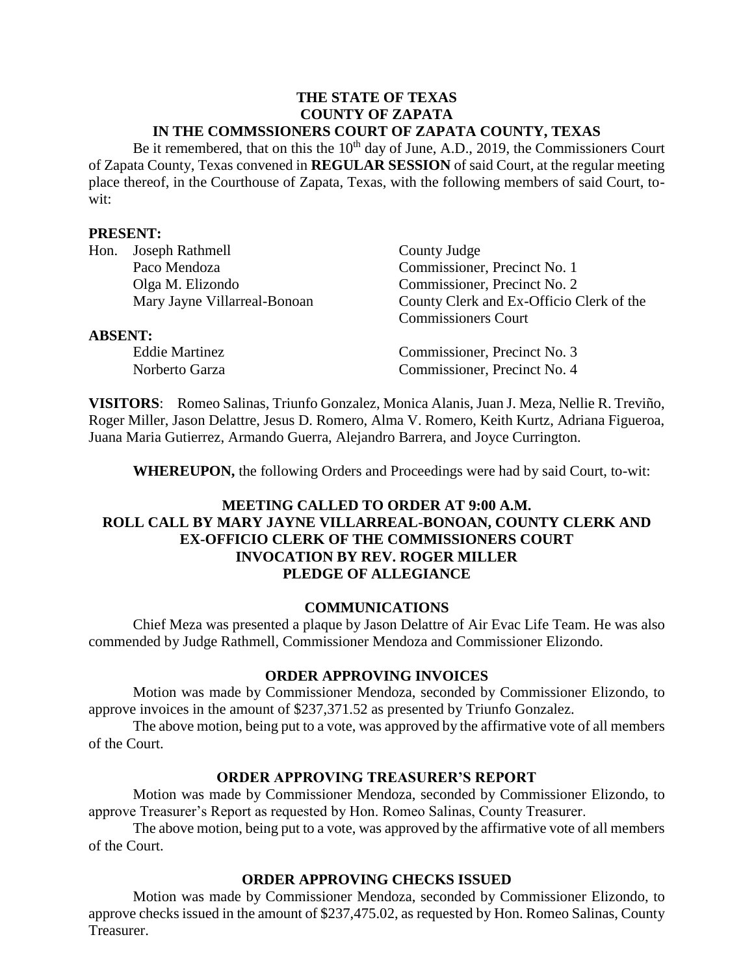#### **THE STATE OF TEXAS COUNTY OF ZAPATA IN THE COMMSSIONERS COURT OF ZAPATA COUNTY, TEXAS**

Be it remembered, that on this the  $10<sup>th</sup>$  day of June, A.D., 2019, the Commissioners Court of Zapata County, Texas convened in **REGULAR SESSION** of said Court, at the regular meeting place thereof, in the Courthouse of Zapata, Texas, with the following members of said Court, towit:

### **PRESENT:**

| Hon.           | Joseph Rathmell              | County Judge                             |
|----------------|------------------------------|------------------------------------------|
|                | Paco Mendoza                 | Commissioner, Precinct No. 1             |
|                | Olga M. Elizondo             | Commissioner, Precinct No. 2             |
|                | Mary Jayne Villarreal-Bonoan | County Clerk and Ex-Officio Clerk of the |
|                |                              | <b>Commissioners Court</b>               |
| <b>ABSENT:</b> |                              |                                          |
|                | <b>Eddie Martinez</b>        | Commissioner, Precinct No. 3             |
|                | Norberto Garza               | Commissioner, Precinct No. 4             |
|                |                              |                                          |

**VISITORS**: Romeo Salinas, Triunfo Gonzalez, Monica Alanis, Juan J. Meza, Nellie R. Treviño, Roger Miller, Jason Delattre, Jesus D. Romero, Alma V. Romero, Keith Kurtz, Adriana Figueroa, Juana Maria Gutierrez, Armando Guerra, Alejandro Barrera, and Joyce Currington.

**WHEREUPON,** the following Orders and Proceedings were had by said Court, to-wit:

## **MEETING CALLED TO ORDER AT 9:00 A.M. ROLL CALL BY MARY JAYNE VILLARREAL-BONOAN, COUNTY CLERK AND EX-OFFICIO CLERK OF THE COMMISSIONERS COURT INVOCATION BY REV. ROGER MILLER PLEDGE OF ALLEGIANCE**

### **COMMUNICATIONS**

Chief Meza was presented a plaque by Jason Delattre of Air Evac Life Team. He was also commended by Judge Rathmell, Commissioner Mendoza and Commissioner Elizondo.

## **ORDER APPROVING INVOICES**

Motion was made by Commissioner Mendoza, seconded by Commissioner Elizondo, to approve invoices in the amount of \$237,371.52 as presented by Triunfo Gonzalez.

The above motion, being put to a vote, was approved by the affirmative vote of all members of the Court.

### **ORDER APPROVING TREASURER'S REPORT**

Motion was made by Commissioner Mendoza, seconded by Commissioner Elizondo, to approve Treasurer's Report as requested by Hon. Romeo Salinas, County Treasurer.

The above motion, being put to a vote, was approved by the affirmative vote of all members of the Court.

## **ORDER APPROVING CHECKS ISSUED**

Motion was made by Commissioner Mendoza, seconded by Commissioner Elizondo, to approve checks issued in the amount of \$237,475.02, as requested by Hon. Romeo Salinas, County Treasurer.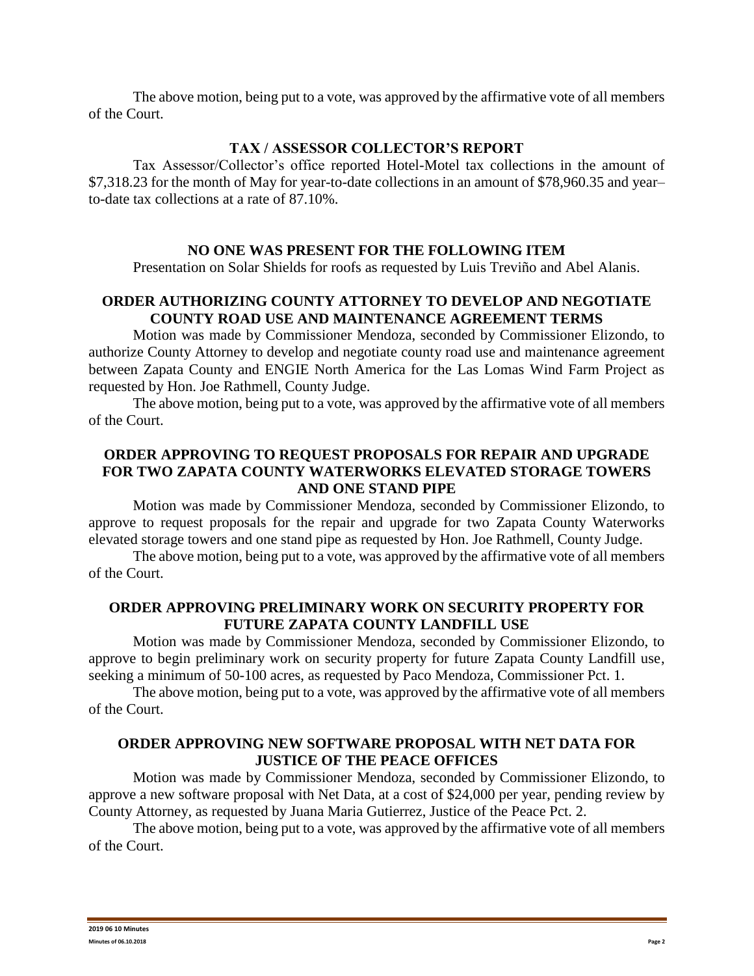The above motion, being put to a vote, was approved by the affirmative vote of all members of the Court.

## **TAX / ASSESSOR COLLECTOR'S REPORT**

Tax Assessor/Collector's office reported Hotel-Motel tax collections in the amount of \$7,318.23 for the month of May for year-to-date collections in an amount of \$78,960.35 and year– to-date tax collections at a rate of 87.10%.

## **NO ONE WAS PRESENT FOR THE FOLLOWING ITEM**

Presentation on Solar Shields for roofs as requested by Luis Treviño and Abel Alanis.

# **ORDER AUTHORIZING COUNTY ATTORNEY TO DEVELOP AND NEGOTIATE COUNTY ROAD USE AND MAINTENANCE AGREEMENT TERMS**

Motion was made by Commissioner Mendoza, seconded by Commissioner Elizondo, to authorize County Attorney to develop and negotiate county road use and maintenance agreement between Zapata County and ENGIE North America for the Las Lomas Wind Farm Project as requested by Hon. Joe Rathmell, County Judge.

The above motion, being put to a vote, was approved by the affirmative vote of all members of the Court.

## **ORDER APPROVING TO REQUEST PROPOSALS FOR REPAIR AND UPGRADE FOR TWO ZAPATA COUNTY WATERWORKS ELEVATED STORAGE TOWERS AND ONE STAND PIPE**

Motion was made by Commissioner Mendoza, seconded by Commissioner Elizondo, to approve to request proposals for the repair and upgrade for two Zapata County Waterworks elevated storage towers and one stand pipe as requested by Hon. Joe Rathmell, County Judge.

The above motion, being put to a vote, was approved by the affirmative vote of all members of the Court.

## **ORDER APPROVING PRELIMINARY WORK ON SECURITY PROPERTY FOR FUTURE ZAPATA COUNTY LANDFILL USE**

Motion was made by Commissioner Mendoza, seconded by Commissioner Elizondo, to approve to begin preliminary work on security property for future Zapata County Landfill use, seeking a minimum of 50-100 acres, as requested by Paco Mendoza, Commissioner Pct. 1.

The above motion, being put to a vote, was approved by the affirmative vote of all members of the Court.

## **ORDER APPROVING NEW SOFTWARE PROPOSAL WITH NET DATA FOR JUSTICE OF THE PEACE OFFICES**

Motion was made by Commissioner Mendoza, seconded by Commissioner Elizondo, to approve a new software proposal with Net Data, at a cost of \$24,000 per year, pending review by County Attorney, as requested by Juana Maria Gutierrez, Justice of the Peace Pct. 2.

The above motion, being put to a vote, was approved by the affirmative vote of all members of the Court.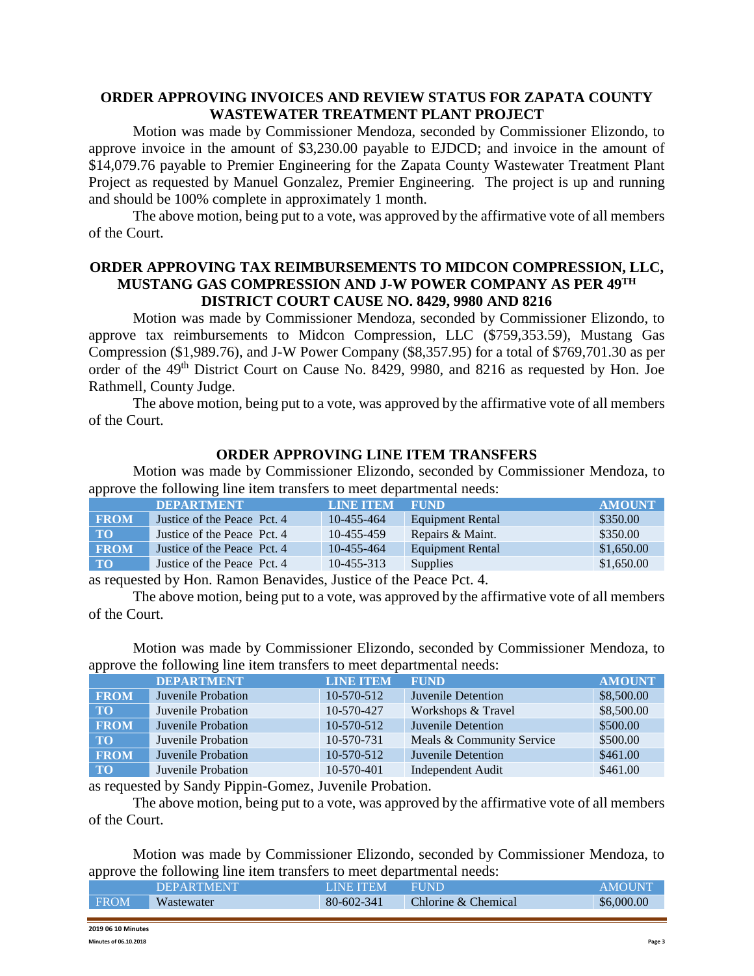## **ORDER APPROVING INVOICES AND REVIEW STATUS FOR ZAPATA COUNTY WASTEWATER TREATMENT PLANT PROJECT**

Motion was made by Commissioner Mendoza, seconded by Commissioner Elizondo, to approve invoice in the amount of \$3,230.00 payable to EJDCD; and invoice in the amount of \$14,079.76 payable to Premier Engineering for the Zapata County Wastewater Treatment Plant Project as requested by Manuel Gonzalez, Premier Engineering. The project is up and running and should be 100% complete in approximately 1 month.

The above motion, being put to a vote, was approved by the affirmative vote of all members of the Court.

## **ORDER APPROVING TAX REIMBURSEMENTS TO MIDCON COMPRESSION, LLC, MUSTANG GAS COMPRESSION AND J-W POWER COMPANY AS PER 49TH DISTRICT COURT CAUSE NO. 8429, 9980 AND 8216**

Motion was made by Commissioner Mendoza, seconded by Commissioner Elizondo, to approve tax reimbursements to Midcon Compression, LLC (\$759,353.59), Mustang Gas Compression (\$1,989.76), and J-W Power Company (\$8,357.95) for a total of \$769,701.30 as per order of the 49<sup>th</sup> District Court on Cause No. 8429, 9980, and 8216 as requested by Hon. Joe Rathmell, County Judge.

The above motion, being put to a vote, was approved by the affirmative vote of all members of the Court.

### **ORDER APPROVING LINE ITEM TRANSFERS**

Motion was made by Commissioner Elizondo, seconded by Commissioner Mendoza, to approve the following line item transfers to meet departmental needs:

|             | <b>DEPARTMENT</b>           | <b>LINE ITEM</b> | <b>FUND</b>             | <b>AMOUNT</b> |
|-------------|-----------------------------|------------------|-------------------------|---------------|
| <b>FROM</b> | Justice of the Peace Pct. 4 | 10-455-464       | <b>Equipment Rental</b> | \$350.00      |
| <b>TO</b>   | Justice of the Peace Pct. 4 | 10-455-459       | Repairs & Maint.        | \$350.00      |
| <b>FROM</b> | Justice of the Peace Pct. 4 | 10-455-464       | <b>Equipment Rental</b> | \$1,650.00    |
| <b>TO</b>   | Justice of the Peace Pct. 4 | 10-455-313       | <b>Supplies</b>         | \$1,650.00    |
|             |                             |                  |                         |               |

as requested by Hon. Ramon Benavides, Justice of the Peace Pct. 4.

The above motion, being put to a vote, was approved by the affirmative vote of all members of the Court.

Motion was made by Commissioner Elizondo, seconded by Commissioner Mendoza, to approve the following line item transfers to meet departmental needs:

|             | <b>DEPARTMENT</b>  | <b>LINE ITEM</b> | <b>FUND</b>               | <b>AMOUNT</b> |
|-------------|--------------------|------------------|---------------------------|---------------|
| <b>FROM</b> | Juvenile Probation | 10-570-512       | Juvenile Detention        | \$8,500.00    |
| <b>TO</b>   | Juvenile Probation | 10-570-427       | Workshops & Travel        | \$8,500.00    |
| <b>FROM</b> | Juvenile Probation | 10-570-512       | <b>Juvenile Detention</b> | \$500.00      |
| <b>TO</b>   | Juvenile Probation | 10-570-731       | Meals & Community Service | \$500.00      |
| <b>FROM</b> | Juvenile Probation | 10-570-512       | Juvenile Detention        | \$461.00      |
| <b>TO</b>   | Juvenile Probation | 10-570-401       | <b>Independent Audit</b>  | \$461.00      |

as requested by Sandy Pippin-Gomez, Juvenile Probation.

The above motion, being put to a vote, was approved by the affirmative vote of all members of the Court.

Motion was made by Commissioner Elizondo, seconded by Commissioner Mendoza, to approve the following line item transfers to meet departmental needs:

|             | <b>DEPARTMENT</b> | <b>LINE ITEM</b> | <b>FUND</b>         | <b>AMOUNT</b> |
|-------------|-------------------|------------------|---------------------|---------------|
| <b>FROM</b> | Wastewater        | 80-602-341       | Chlorine & Chemical | \$6,000.00    |
|             |                   |                  |                     |               |